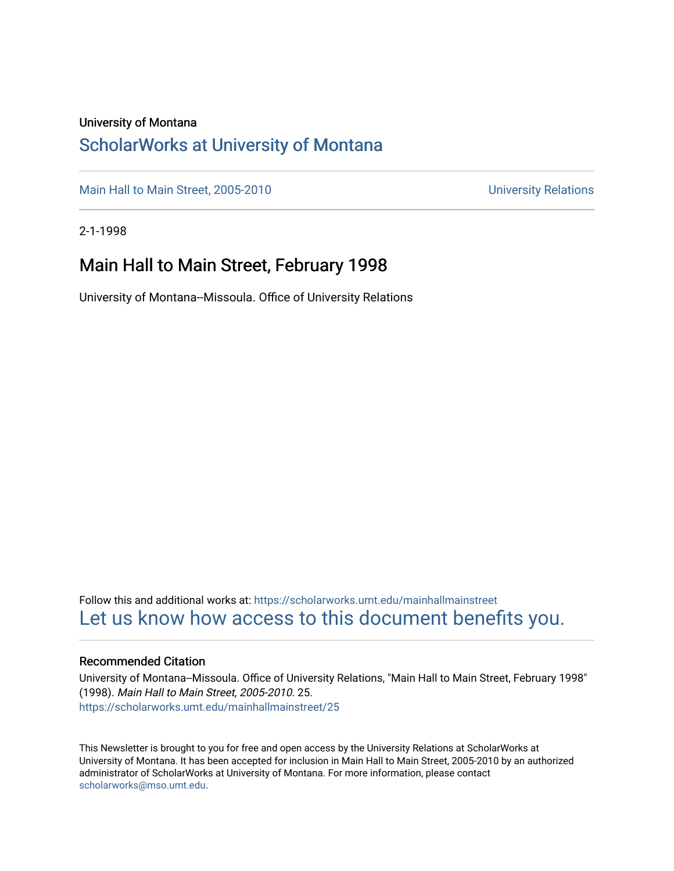#### University of Montana

### [ScholarWorks at University of Montana](https://scholarworks.umt.edu/)

[Main Hall to Main Street, 2005-2010](https://scholarworks.umt.edu/mainhallmainstreet) Main Hall to Main Street, 2005-2010

2-1-1998

### Main Hall to Main Street, February 1998

University of Montana--Missoula. Office of University Relations

Follow this and additional works at: [https://scholarworks.umt.edu/mainhallmainstreet](https://scholarworks.umt.edu/mainhallmainstreet?utm_source=scholarworks.umt.edu%2Fmainhallmainstreet%2F25&utm_medium=PDF&utm_campaign=PDFCoverPages) [Let us know how access to this document benefits you.](https://goo.gl/forms/s2rGfXOLzz71qgsB2) 

#### Recommended Citation

University of Montana--Missoula. Office of University Relations, "Main Hall to Main Street, February 1998" (1998). Main Hall to Main Street, 2005-2010. 25. [https://scholarworks.umt.edu/mainhallmainstreet/25](https://scholarworks.umt.edu/mainhallmainstreet/25?utm_source=scholarworks.umt.edu%2Fmainhallmainstreet%2F25&utm_medium=PDF&utm_campaign=PDFCoverPages) 

This Newsletter is brought to you for free and open access by the University Relations at ScholarWorks at University of Montana. It has been accepted for inclusion in Main Hall to Main Street, 2005-2010 by an authorized administrator of ScholarWorks at University of Montana. For more information, please contact [scholarworks@mso.umt.edu.](mailto:scholarworks@mso.umt.edu)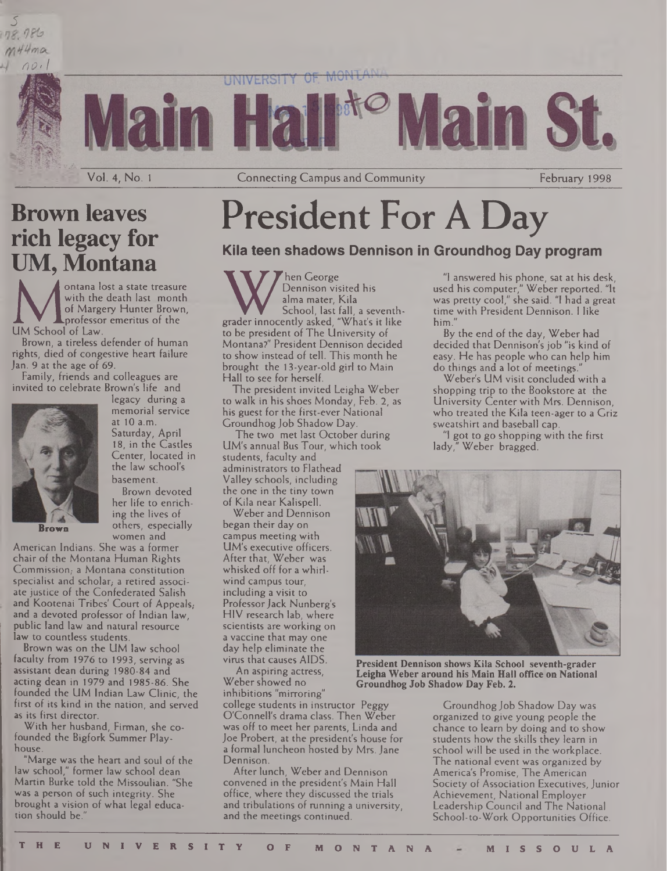

Vol. 4, No. 1 **Connecting Campus and Community** February 1998

### **Brown leaves rich legacy for UM, Montana**

5

ontana lost a state treasure with the death last month of Margery Hunter Brown, professor emeritus of the UM School of Law.

Brown, a tireless defender of human rights, died of congestive heart failure Jan. 9 at the age of 69

Family, friends and colleagues are invited to celebrate Brown's life and



legacy during a memorial service at 10 a.m. Saturday, April 18, in the Castles Center, located in the law school's basement.

Brown devoted her life to enriching the lives of others, especially women and

American Indians. She was a former chair of the Montana Human Rights Commission, a Montana constitution specialist and scholar, a retired associate justice of the Confederated Salish and Kootenai Tribes' Court of Appeals, and a devoted professor of Indian law, public land law and natural resource law to countless students.

Brown was on the UM law school faculty from 1976 to 1993, serving as assistant dean during 1980-84 and acting dean in 1979 and 1985-86. She founded the UM Indian Law Clinic, the first of its kind in the nation, and served as its first director.

With her husband, Firman, she cofounded the Bigfork Summer Playhouse.

"Marge was the heart and soul of the law school," former law school dean Martin Burke told the Missoulian. "She was a person of such integrity. She brought a vision of what legal education should be.

# **President For A Day**

#### **Kila teen shadows Dennison in Groundhog Day program**

W hen George<br>
Dennison visited his<br>
school, last fall, a seventh<br>
grader innocently asked, "What's it like hen George Dennison visited his alma mater, Kila School, last fall, a seventhto be president of The University of Montana?" President Dennison decided to show instead of tell. This month he brought the 13-year-old girl to Main Hall to see for herself.

The president invited Leigha Weber to walk in his shoes Monday, Feb. 2, as his guest for the first-ever National Groundhog Job Shadow Day.

The two met last October during UM's annual Bus Tour, which took students, faculty and administrators to Flathead Valley schools, including the one in the tiny town of Kila near Kalispell.

Weber and Dennison began their day on campus meeting with UM's executive officers. After that, Weber was whisked off for a whirlwind campus tour, including a visit to Professor Jack Nunberg's HIV research lab, where scientists are working on a vaccine that may one day help eliminate the virus that causes AIDS.

An aspiring actress, Weber showed no inhibitions "mirroring"

college students in instructor Peggy O'Connell's drama class. Then Weber was off to meet her parents, Linda and Joe Probert, at the president's house for a formal luncheon hosted by Mrs. Jane Dennison.

After lunch, Weber and Dennison convened in the president's Main Hall office, where they discussed the trials and tribulations of running a university, and the meetings continued.

"I answered his phone, sat at his desk, used his computer," Weber reported. "It was pretty cool," she said. "I had a great time with President Dennison. <sup>I</sup> like him."

By the end of the day, Weber had decided that Dennison's job "is kind of easy. He has people who can help him do things and a lot of meetings.

Weber's UM visit concluded with a shopping trip to the Bookstore at the University Center with Mrs. Dennison, who treated the Kila teen-ager to a Griz sweatshirt and baseball cap.

I got to go shopping with the first lady," Weber bragged.



**President Dennison shows Kila School seventh-grader Leigha Weber around his Main Hall office on National Groundhog Job Shadow Day Feb. 2.**

Groundhog Job Shadow Day was organized to give young people the chance to learn by doing and to show students how the skills they learn in school will be used in the workplace. The national event was organized by America's Promise, The American Society of Association Executives, Junior Achievement, National Employer Leadership Council and The National School-to-Work Opportunities Office.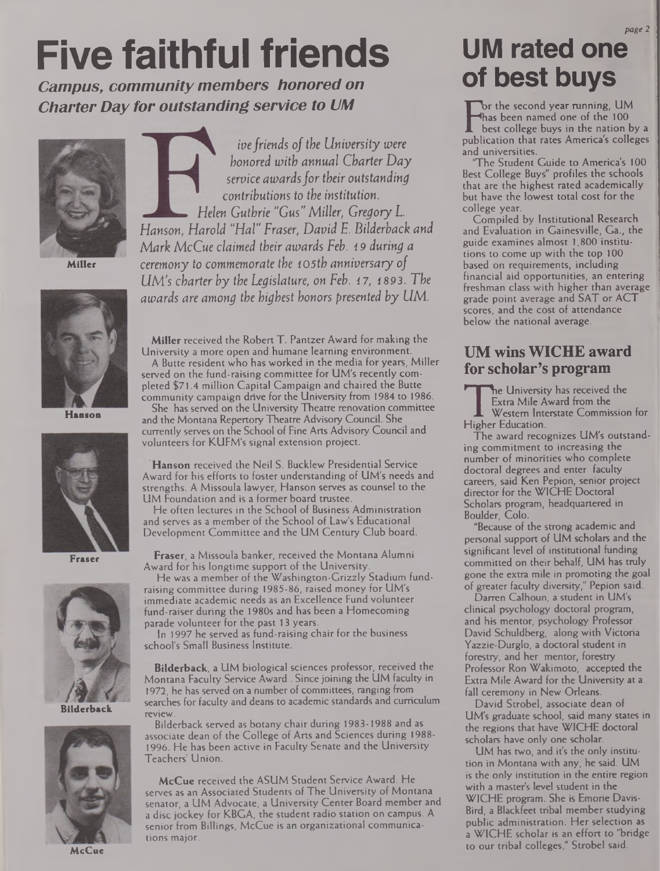# **Five faithful friends**

*Campus, community members honored on Charter Day for outstanding service to UM*



**Miller**



**Hanson**



**Fraser**



**Bilderback**



**McCue**

*ivefriends of the University were honored with annual Charter Day service awardsfortheir outstanding contributions to the institution. Helen Guthrie "Gas" Miller, Gregory L. Hanson, Harold "Hal" Fraser, David E. Bilderback and Mark McCue claimed their awards Feb. <sup>1</sup> 9 during a ceremony to commemorate the 105th anniversary of UM's charter by the Legislature, on Feb. 17, 1893. The awards are among the highest honors presented by UM.*

**Miller** received the Robert T. Pantzer Award for making the University a more open and humane learning environment. A Butte resident who has worked in the media for years, Miller

served on the fund-raising committee for UM's recently completed \$71.4 million Capital Campaign and chaired the Butte community campaign drive for the University from 1984 to 1986.

She has served on the University Theatre renovation committee and the Montana Repertory Theatre Advisory Council. She currently serves on the School of Fine Arts Advisory Council and volunteers for KUFM's signal extension project.

**Hanson** received the Neil S. Bucklew Presidential Service Award for his efforts to foster understanding of UM's needs and strengths. A Missoula lawyer, Hanson serves as counsel to the UM Foundation and is a former board trustee.

He often lectures in the School of Business Administration and serves as a member of the School of Law's Educational Development Committee and the UM Century Club board.

**Fraser,** a Missoula banker, received the Montana Alumni Award for his longtime support of the University.

He was a member of the Washington-Grizzly Stadium fundraising committee during 1985-86, raised money for UM's immediate academic needs as an Excellence Fund volunteer fund-raiser during the 1980s and has been a Homecoming parade volunteer for the past 13 years.

In 1997 he served as fund-raising chair for the business school's Small Business Institute.

**Bilderback,** a UM biological sciences professor, received the Montana Faculty Service Award . Since joining the UM faculty in 1972, he has served on a number of committees, ranging from searches for faculty and deans to academic standards and curriculum review.

Bilderback served as botany chair during 1983-1988 and as associate dean of the College of Arts and Sciences during 1988- 1996. He has been active in Faculty Senate and the University Teachers' Union.

**McCue** received the ASUM Student Service Award. He serves as an Associated Students of The University of Montana senator, a UM Advocate, a University Center Board member and a disc jockey for KBGA, the student radio station on campus. A senior from Billings, McCue is an organizational communications major.

## **UM rated one of best buys**

Finas been named one of the TOO<br>best college buys in the nation by a<br>publication that rates America's colleges br the second year running, UM has been named one of the 100 best college buys in the nation by a and universities.

The Student Guide to America's 100 Best College Buys" profiles the schools that are the highest rated academically but have the lowest total cost for the college year.

Compiled by Institutional Research and Evaluation in Gainesville, Ga., the guide examines almost 1,800 institutions to come up with the top 100 based on requirements, including financial aid opportunities, an entering freshman class with higher than average grade point average and SAT or ACT scores, and the cost of attendance below the national average.

### **UM wins WICHE award for scholar's program**

Extra Mile Award!<br>Western Interstate<br>Higher Education. he University has received the Extra Mile Award from the Western Interstate Commission for

The award recognizes UM's outstanding commitment to increasing the number of minorities who complete doctoral degrees and enter faculty careers, said Ken Pepion, senior project director for the WICHE Doctoral Scholars program, headquartered in Boulder, Colo.

"Because of the strong academic and personal support of UM scholars and the significant level of institutional funding committed on their behalf, UM has truly gone the extra mile in promoting the goal of greater faculty diversity," Pepion said.

Darren Calhoun, a student in UM's clinical psychology doctoral program, and his mentor, psychology Professor David Schuldberg, along with Victoria Yazzie-Durglo, a doctoral student in forestry, and her mentor, forestry Professor Ron Wakimoto, accepted the Extra Mile Award for the University at a fall ceremony in New Orleans.

David Strobel, associate dean of UM's graduate school, said many states in the regions that have WICHE doctoral scholars have only one scholar.

UM has two, and it's the only institution in Montana with any, he said. UM is the only institution in the entire region with a master's level student in the WICHE program. She is Emorie Davis-Bird, a Blackfeet tribal member studying public administration. Her selection as a WICHE scholar is an effort to "bridge to our tribal colleges," Strobel said.

*page 2*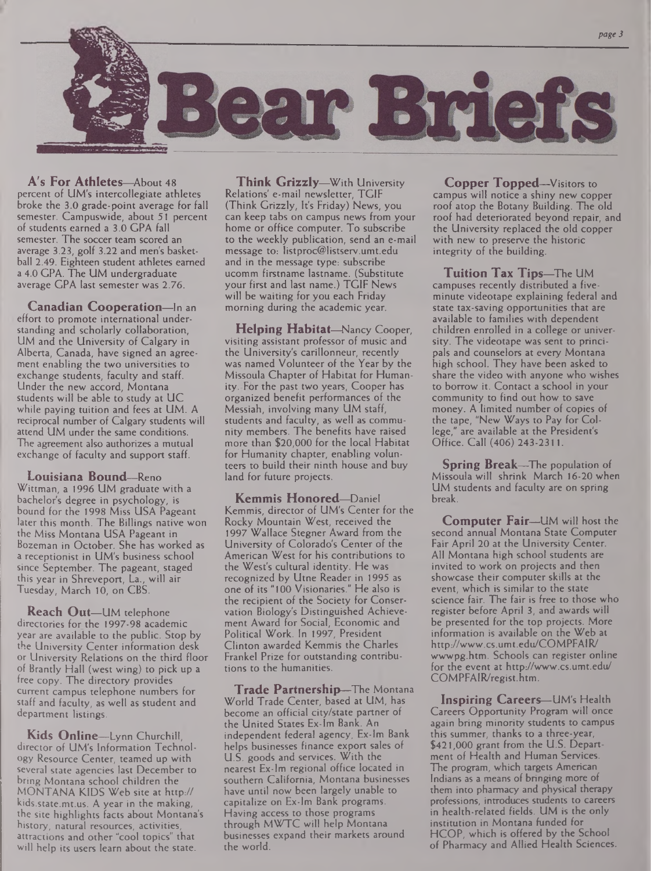

**A's For Athletes—**About 48 percent of UM's intercollegiate athletes broke the 3.0 grade-point average for fall semester. Campuswide, about 51 percent of students earned a 3.0 GPA fall semester. The soccer team scored an average 3.23, golf 3.22 and men's basketball 2.49. Eighteen student athletes earned a 4.0 GPA. The UM undergraduate average GPA last semester was 2.76.

**Canadian Cooperation—**In an effort to promote international understanding and scholarly collaboration, UM and the University of Calgary in Alberta, Canada, have signed an agreement enabling the two universities to exchange students, faculty and staff. Under the new accord, Montana students will be able to study at UC while paying tuition and fees at UM. A reciprocal number of Calgary students will attend UM under the same conditions. The agreement also authorizes a mutual exchange of faculty and support staff.

**Louisiana Bound—**Reno Wittman, a 1996 UM graduate with a bachelor's degree in psychology, is bound for the 1998 Miss USA Pageant later this month. The Billings native won the Miss Montana USA Pageant in Bozeman in October. She has worked as a receptionist in UM's business school since September. The pageant, staged this year in Shreveport, La., will air Tuesday, March 10, on CBS.

**Reach Out—**UM telephone directories for the 1997-98 academic year are available to the public. Stop by the University Center information desk or University Relations on the third floor of Brantly Hall (west wing) to pick up a free copy. The directory provides current campus telephone numbers for staff and faculty, as well as student and department listings.

**Kids Online—**Lynn Churchill, director of UM's Information Technology Resource Center, teamed up with several state agencies last December to bring Montana school children the MONTANA KIDS Web site at http:// kids.state.mt.us. A year in the making, the site highlights facts about Montana's history, natural resources, activities, attractions and other "cool topics" that will help its users learn about the state.

**Think Grizzly—**With University Relations' e-mail newsletter, TGIF (Think Grizzly, It's Friday) News, you can keep tabs on campus news from your home or office computer. To subscribe to the weekly publication, send an e-mail message to: [listproc@listserv.umt.edu](mailto:listproc@listserv.umt.edu) and in the message type: subscribe ucomm firstname lastname. (Substitute your first and last name.) TGIF News will be waiting for you each Friday morning during the academic year.

**Helping Habitat—**Nancy Cooper, visiting assistant professor of music and the University's carillonneur, recently was named Volunteer of the Year by the Missoula Chapter of Habitat for Humanity. For the past two years, Cooper has organized benefit performances of the Messiah, involving many UM staff, students and faculty, as well as community members. The benefits have raised more than \$20,000 for the local Habitat for Humanity chapter, enabling volunteers to build their ninth house and buy land for future projects.

**Kemmis Honored—**Daniel Kemmis, director of UM's Center for the Rocky Mountain West, received the 1997 Wallace Stegner Award from the University of Colorado's Center of the American West for his contributions to the West's cultural identity. He was recognized by Utne Reader in 1995 as one of its "100 Visionaries." He also is the recipient of the Society for Conservation Biology's Distinguished Achievement Award for Social, Economic and Political Work. In 1997, President Clinton awarded Kemmis the Charles Frankel Prize for outstanding contributions to the humanities.

**Trade Partnership—**The Montana World Trade Center, based at UM, has become an official city/state partner of the United States Ex-lm Bank. An independent federal agency, Ex-lm Bank helps businesses finance export sales of U.S. goods and services. With the nearest Ex-lm regional office located in southern California, Montana businesses have until now been largely unable to capitalize on Ex-lm Bank programs. Having access to those programs through MWTC will help Montana businesses expand their markets around the world.

**Copper Topped—**Visitors to campus will notice a shiny new copper roof atop the Botany Building. The old roof had deteriorated beyond repair, and the University replaced the old copper with new to preserve the historic integrity of the building.

**Tuition Tax Tips—**The UM campuses recently distributed a fiveminute videotape explaining federal and state tax-saving opportunities that are available to families with dependent children enrolled in a college or university. The videotape was sent to principals and counselors at every Montana high school. They have been asked to share the video with anyone who wishes to borrow it. Contact a school in your community to find out how to save money. A limited number of copies of the tape, "New Ways to Pay for College," are available at the President's Office. Call (406) 243-2311.

**Spring Break—**The population of Missoula will shrink March 16-20 when UM students and faculty are on spring break.

**Computer Fair—**UM will host the second annual Montana State Computer Fair April 20 at the University Center. All Montana high school students are invited to work on projects and then showcase their computer skills at the event, which is similar to the state science fair. The fair is free to those who register before April 3, and awards will be presented for the top projects. More information is available on the Web at <http://www.cs.umt.edu/COMPFAIR/> wwwpg.htm. Schools can register online for the event at <http://www.cs.umt.edu/> COMPFAIR/regist.htm.

**Inspiring Careers—**UM's Health Careers Opportunity Program will once again bring minority students to campus this summer, thanks to a three-year, \$421,000 grant from the U.S. Department of Health and Human Services. The program, which targets American Indians as a means of bringing more of them into pharmacy and physical therapy professions, introduces students to careers in health-related fields. UM is the only institution in Montana funded for HCOP, which is offered by the School of Pharmacy and Allied Health Sciences.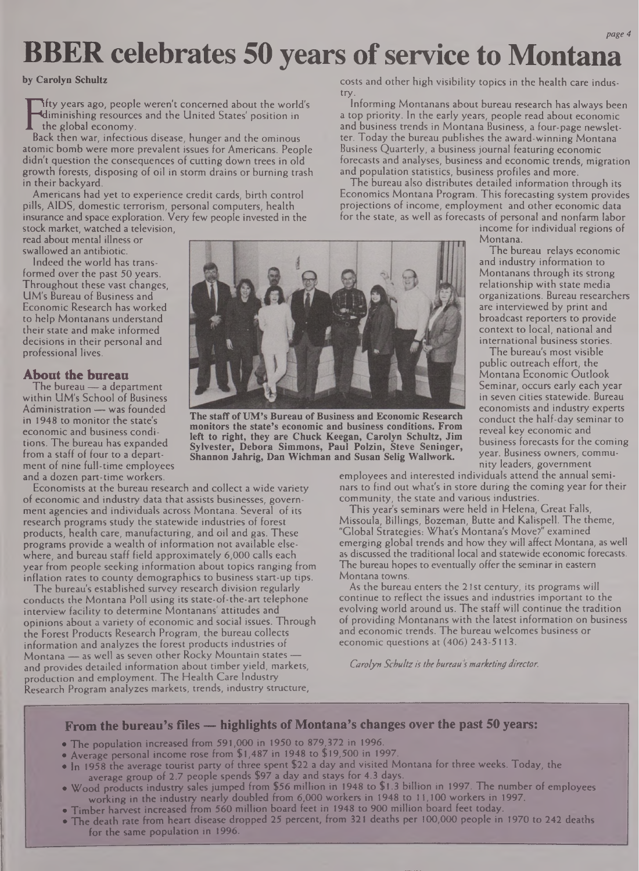#### *page 4*

## **BBER celebrates 50 years ofservice to Montana**

**by Carolyn Schultz**

**Fall Informal Exercise State States States** position in<br>Back then war, infectious disease, hunger and the ominous ifty years ago, people weren't concerned about the world's diminishing resources and the United States' position in the global economy.

atomic bomb were more prevalent issues for Americans. People didn't question the consequences of cutting down trees in old growth forests, disposing of oil in storm drains or burning trash in their backyard.

Americans had yet to experience credit cards, birth control pills, AIDS, domestic terrorism, personal computers, health insurance and space exploration. Very few people invested in the stock market, watched a television,

read about mental illness or swallowed an antibiotic.

Indeed the world has transformed over the past 50 years. Throughout these vast changes, UM's Bureau of Business and Economic Research has worked to help Montanans understand their state and make informed decisions in their personal and professional lives.

#### **About the bureau**

The bureau — a department within UM's School of Business Administration — was founded in 1948 to monitor the state's economic and business conditions. The bureau has expanded from a staff of four to a department of nine full-time employees and a dozen part-time workers.

Economists at the bureau research and collect a wide variety of economic and industry data that assists businesses, government agencies and individuals across Montana. Several of its research programs study the statewide industries of forest products, health care, manufacturing, and oil and gas. These programs provide a wealth of information not available elsewhere, and bureau staff field approximately 6,000 calls each year from people seeking information about topics ranging from inflation rates to county demographics to business start-up tips.

The bureau's established survey research division regularly conducts the Montana Poll using its state-of-the-art telephone interview facility to determine Montanans' attitudes and opinions about a variety of economic and social issues. Through the Forest Products Research Program, the bureau collects information and analyzes the forest products industries of Montana — as well as seven other Rocky Mountain states and provides detailed information about timber yield, markets, production and employment. The Health Care Industry Research Program analyzes markets, trends, industry structure,

costs and other high visibility topics in the health care industry.

Informing Montanans about bureau research has always been a top priority. In the early years, people read about economic and business trends in Montana Business, a four-page newsletter. Today the bureau publishes the award-winning Montana Business Quarterly, a business journal featuring economic forecasts and analyses, business and economic trends, migration and population statistics, business profiles and more.

The bureau also distributes detailed information through its Economics Montana Program. This forecasting system provides projections of income, employment and other economic data for the state, as well as forecasts of personal and nonfarm labor

income for individual regions of Montana.

The bureau relays economic and industry information to Montanans through its strong relationship with state media organizations. Bureau researchers are interviewed by print and broadcast reporters to provide context to local, national and international business stories.

The bureau's most visible public outreach effort, the Montana Economic Outlook Seminar, occurs early each year in seven cities statewide. Bureau economists and industry experts conduct the half-day seminar to reveal key economic and business forecasts for the coming year. Business owners, community leaders, government

employees and interested individuals attend the annual seminars to find out what's in store during the coming year for their community, the state and various industries.

This year's seminars were held in Helena, Great Falls, Missoula, Billings, Bozeman, Butte and Kalispell. The theme, "Global Strategies: What's Montana's Move?" examined emerging global trends and how they will affect Montana, as well as discussed the traditional local and statewide economic forecasts. The bureau hopes to eventually offer the seminar in eastern Montana towns.

As the bureau enters the 21st century, its programs will continue to reflect the issues and industries important to the evolving world around us. The staff will continue the tradition of providing Montanans with the latest information on business and economic trends. The bureau welcomes business or economic questions at (406) 243-5113.

*Carolyn Schultzis the bureau s marketing director.*



- The population increased from 591,000 in 1950 to 879,372 in 1996.
- Average personal income rose from \$1,487 in 1948 to \$19,500 in 1997.
- In 1958 the average tourist party of three spent \$22 a day and visited Montana for three weeks. Today, the average group of 2.7 people spends \$97 a day and stays for 4.3 days.
- Wood products industry sales jumped from \$56 million in 1948 to \$1.3 billion in 1997. The number of employees working in the industry nearly doubled from 6,000 workers in 1948 to 11,100 workers in 1997.
- Timber harvest increased from 560 million board feet in 1948 to 900 million board feet today.
- The death rate from heart disease dropped 25 percent, from 321 deaths per 100,000 people in 1970 to 242 deaths for the same population in 1996.



**The staff of UM's Bureau of Business and Economic Research monitors the state's economic and business conditions. From left to right, they are Chuck Keegan, Carolyn Schultz, Jim Sylvester, Debora Simmons, Paul Polzin, Steve Seninger, Shannon Jahrig, Dan Wichman and Susan Selig Wallwork.**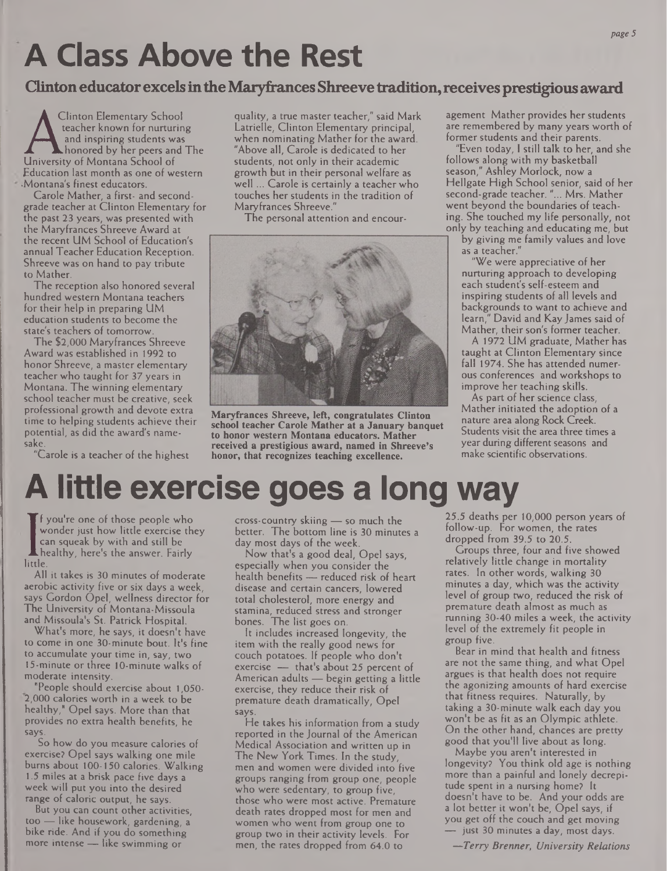## *A* **Class Above the Rest**

### **Clintoneducator excelsintheMaryfrancesShreeve tradition,receivesprestigiousaward**

A teacher known for nurturing<br>and inspiring students was<br>University of Montana School of Clinton Elementary School teacher known for nurturing and inspiring students was<br>honored by her peers and The Education last month as one of western Montana's finest educators.

Carole Mather, a first- and secondgrade teacher at Clinton Elementary for the past 23 years, was presented with the Maryfrances Shreeve Award at the recent UM School of Education's annual Teacher Education Reception. Shreeve was on hand to pay tribute to Mather.

The reception also honored several hundred western Montana teachers for their help in preparing UM education students to become the state's teachers of tomorrow

The \$2,000 Maryfrances Shreeve Award was established in 1992 to honor Shreeve, a master elementary teacher who taught for 37 years in Montana. The winning elementary school teacher must be creative, seek professional growth and devote extra time to helping students achieve their potential, as did the award's namepotential, as did the award's name-

 $C$ "Carole is a teacher of the highest

quality, a true master teacher," said Mark Latrielle, Clinton Elementary principal, when nominating Mather for the award. "Above all, Carole is dedicated to her students, not only in their academic growth but in their personal welfare as well ... Carole is certainly a teacher who touches her students in the tradition of Maryfrances Shreeve."

The personal attention and encour-



**Maryfrances Shreeve, left, congratulates Clinton school teacher Carole Mather at a January banquet to honor western Montana educators. Mather received a prestigious award, named in Shreeve's honor, that recognizes teaching excellence.**

agement Mather provides her students are remembered by many years worth of former students and their parents.

"Even today, <sup>1</sup> still talk to her, and she follows along with my basketball season," Ashley Morlock, now a Hellgate High School senior, said of her second-grade teacher. "... Mrs. Mather went beyond the boundaries of teaching. She touched my life personally, not only by teaching and educating me, but

by giving me family values and love as a teacher."

"We were appreciative of her nurturing approach to developing each student's self-esteem and inspiring students of all levels and backgrounds to want to achieve and learn," David and Kay James said of Mather, their son's former teacher.

A 1972 UM graduate, Mather has taught at Clinton Elementary since fall 1974. She has attended numerous conferences and workshops to improve her teaching skills.

As part of her science class, Mather initiated the adoption of a nature area along Rock Creek. Students visit the area three times a year during different seasons and make scientific observations.

## **A little exercise goes a long way**

Wed<br>little. f you're one of those people who wonder just how little exercise they can squeak by with and still be healthy, here's the answer. Fairly

All it takes is 30 minutes of moderate aerobic activity five or six days a week, says Gordon Opel, wellness director for The University of Montana-Missoula and Missoula's St. Patrick Hospital.

What's more, he says, it doesn't have to come in one 30-minute bout. It's fine to accumulate your time in, say, two 15-minute or three 10-minute walks of moderate intensity.

"People should exercise about 1,050- 2,000 calories worth in a week to be healthy," Opel says. More than that provides no extra health benefits, he says.

So how do you measure calories of exercise? Opel says walking one mile bums about 100-150 calories. Walking 1.5 miles at a brisk pace five days a week will put you into the desired range of caloric output, he says.

But you can count other activities, too — like housework, gardening, a bike ride. And if you do something more intense — like swimming or

cross-country skiing — so much the better. The bottom line is 30 minutes a day most days of the week.

Now that's a good deal, Opel says, especially when you consider the health benefits — reduced risk of heart disease and certain cancers, lowered total cholesterol, more energy and stamina, reduced stress and stronger bones. The list goes on.

It includes increased longevity, the item with the really good news for couch potatoes. If people who don't exercise — that's about 25 percent of American adults — begin getting a little exercise, they reduce their risk of premature death dramatically, Opel says.

He takes his information from a study reported in the Journal of the American Medical Association and written up in The New York Times. In the study, men and women were divided into five groups ranging from group one, people who were sedentary, to group five, those who were most active. Premature death rates dropped most for men and women who went from group one to group two in their activity levels. For men, the rates dropped from 64.0 to

25.5 deaths per 10,000 person years of follow-up. For women, the rates dropped from 39.5 to 20.5.

Groups three, four and five showed relatively little change in mortality rates. In other words, walking 30 minutes a day, which was the activity level of group two, reduced the risk of premature death almost as much as running 30-40 miles a week, the activity level of the extremely fit people in group five.

Bear in mind that health and fitness are not the same thing, and what Opel argues is that health does not require the agonizing amounts of hard exercise that fitness requires. Naturally, by taking a 30-minute walk each day you won't be as fit as an Olympic athlete. On the other hand, chances are pretty good that you'll live about as long.

Maybe you aren't interested in longevity? You think old age is nothing more than a painful and lonely decrepitude spent in a nursing home? It doesn't have to be. And your odds are a lot better it won't be, Opel says, if you get off the couch and get moving — just 30 minutes a day, most days.